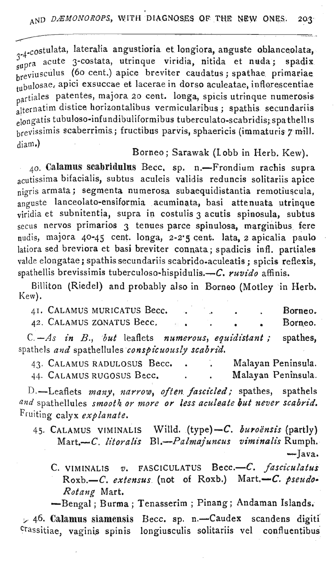$-3-4-cost$ <sub>-4-costulata,</sub> lateralia angustioria et longiora, anguste oblanceolata,  $3^{2}$  acute 3-costata, utrinque viridia, nitida et nuda; spadix supprime (60 cent.) apice breviter caudatus; spathae primariae tubulosae, apici exsuccae et lacerae in dorso aculeatae, inflorescentiae partiales patentes, majora 20 cent. longa, spicis utrinque numerosis partial distice horizontalibus vermicularibus; spathis secundariis elongatis tubuloso-infundibuliformibus tuberculato-scabridis; spa the llis brevissimis scaberrimis.; fructibus parvis, sphaericis (immaturis 7 mill.  $diam.$ )

## Borneo; Sarawak (lobb in Herb. Kew).

*40.* Calamus' scabridulus Bece. sp. n.-Frondium rachis supra acutissima bifacialis, subtus aculeis validis reduneis solitariis apice nigris armata; segmenta numerosa subaequidistantia remotiuscula,  $\frac{1}{2}$ anguste lanceolato-ensiformia acuminata, basi attenuata utrinque  $v$ iridia et subnitentia, supra in costulis 3 acutis spinosula, subtus  $secus$  nervos primarios  $3$  tenues parce spinulosa, marginibus fere nudis, majora 40-45 cent. longa, 2-2'5 cent. lata, 2 apicalia paulo latiora sed breviora et basi breviter connata; spadicis infl. partiales walde elongatae; spathis secundariis scabrido-aculeatis; spicis reflexis, spathellis brevissimis tuberculoso-hispidulis.-C. ruvido affinis.

Billiton (Riedel) and probably also in Borneo (Motley in Herb. Kew).

|                                                  |  |  |  | 41. CALAMUS MURICATUS Becc. |                          |  |  |  | Borneo.                                                        |
|--------------------------------------------------|--|--|--|-----------------------------|--------------------------|--|--|--|----------------------------------------------------------------|
|                                                  |  |  |  | 42. CALAMUS ZONATUS Becc.   | <b>Contract Contract</b> |  |  |  | Borneo.                                                        |
|                                                  |  |  |  |                             |                          |  |  |  | $C - As$ in $B$ , but leaflets numerous, equidistant; spathes, |
| spathels and spathellules conspicuously scabrid. |  |  |  |                             |                          |  |  |  |                                                                |

| 43. CALAMUS RADULOSUS Becc. |  | Malayan Peninsula. |
|-----------------------------|--|--------------------|
| 44. CALAMUS RUGOSUS Becc.   |  | Malayan Peninsula. |

D.-Leaflets *many*, *narrow*, *often fascicled*; spathes, spathels *and* spathellules *smoot4 or more or less aculeate l!ut never scabrz'd.* Fruiting calyx *explanate.*

- 45. CALAMUS VIMINALIS Willd. (type)-C. buroënsis (partly) *Bl.-Palmajuncus viminalz"s* Rumph.  $\overline{-}$ Java. Mart.-C. *litoralis* 
	- C. VIMINALlS *v.* FASCICULATUS Becc.-C. *jasciculatus* Roxb.-C. extensus (not of Roxb.) Mart.-C. pseudo-*Rotang* Mart.

-Bengal; Burma; Tenasserim; Pinang; Andaman Islands.

 $\times$  46. Calamus siamensis Becc. sp. n.-Caudex scandens digiti crassitiae, vaginis spinis longiuseulis solitariis vel confluentibus'